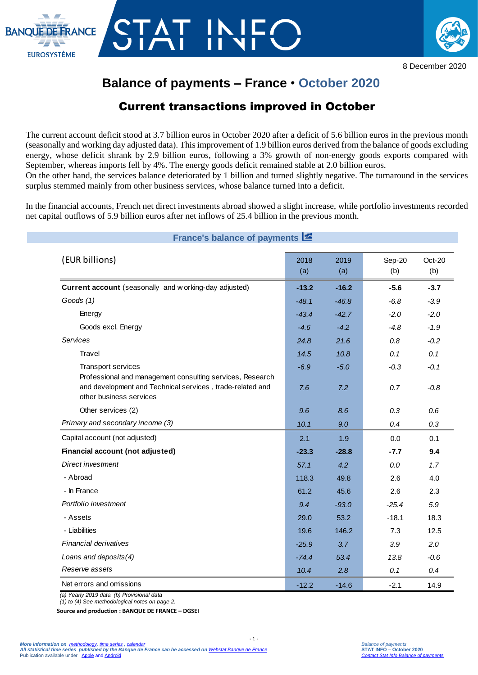



8 December 2020

## **Balance of payments – France** • **October 2020**

## Current transactions improved in October

The current account deficit stood at 3.7 billion euros in October 2020 after a deficit of 5.6 billion euros in the previous month (seasonally and working day adjusted data). This improvement of 1.9 billion euros derived from the balance of goods excluding energy, whose deficit shrank by 2.9 billion euros, following a 3% growth of non-energy goods exports compared with September, whereas imports fell by 4%. The energy goods deficit remained stable at 2.0 billion euros.

On the other hand, the services balance deteriorated by 1 billion and turned slightly negative. The turnaround in the services surplus stemmed mainly from other business services, whose balance turned into a deficit.

In the financial accounts, French net direct investments abroad showed a slight increase, while portfolio investments recorded net capital outflows of 5.9 billion euros after net inflows of 25.4 billion in the previous month.

| France's balance of payments E                                                                                                                    |             |             |               |               |
|---------------------------------------------------------------------------------------------------------------------------------------------------|-------------|-------------|---------------|---------------|
| (EUR billions)                                                                                                                                    | 2018<br>(a) | 2019<br>(a) | Sep-20<br>(b) | Oct-20<br>(b) |
| Current account (seasonally and w orking-day adjusted)                                                                                            | $-13.2$     | $-16.2$     | $-5.6$        | $-3.7$        |
| Goods (1)                                                                                                                                         | $-48.1$     | $-46.8$     | $-6.8$        | $-3.9$        |
| Energy                                                                                                                                            | $-43.4$     | $-42.7$     | $-2.0$        | $-2.0$        |
| Goods excl. Energy                                                                                                                                | $-4.6$      | $-4.2$      | $-4.8$        | $-1.9$        |
| Services                                                                                                                                          | 24.8        | 21.6        | 0.8           | $-0.2$        |
| Travel                                                                                                                                            | 14.5        | 10.8        | 0.1           | 0.1           |
| Transport services                                                                                                                                | $-6.9$      | $-5.0$      | $-0.3$        | $-0.1$        |
| Professional and management consulting services, Research<br>and development and Technical services, trade-related and<br>other business services | 7.6         | 7.2         | 0.7           | $-0.8$        |
| Other services (2)                                                                                                                                | 9.6         | 8.6         | 0.3           | 0.6           |
| Primary and secondary income (3)                                                                                                                  | 10.1        | 9.0         | 0.4           | 0.3           |
| Capital account (not adjusted)                                                                                                                    | 2.1         | 1.9         | 0.0           | 0.1           |
| Financial account (not adjusted)                                                                                                                  | $-23.3$     | $-28.8$     | $-7.7$        | 9.4           |
| Direct investment                                                                                                                                 | 57.1        | 4.2         | $0.0\,$       | 1.7           |
| - Abroad                                                                                                                                          | 118.3       | 49.8        | 2.6           | 4.0           |
| - In France                                                                                                                                       | 61.2        | 45.6        | 2.6           | 2.3           |
| Portfolio investment                                                                                                                              | 9.4         | $-93.0$     | $-25.4$       | 5.9           |
| - Assets                                                                                                                                          | 29.0        | 53.2        | $-18.1$       | 18.3          |
| - Liabilities                                                                                                                                     | 19.6        | 146.2       | 7.3           | 12.5          |
| <b>Financial derivatives</b>                                                                                                                      | $-25.9$     | 3.7         | 3.9           | 2.0           |
| Loans and deposits(4)                                                                                                                             | $-74.4$     | 53.4        | 13.8          | $-0.6$        |
| Reserve assets                                                                                                                                    | 10.4        | 2.8         | 0.1           | 0.4           |
| Net errors and omissions                                                                                                                          | $-12.2$     | $-14.6$     | $-2.1$        | 14.9          |

 $-1$ .

*(a) Yearly 2019 data (b) Provisional data*

*(1) to (4) See methodological notes on page 2.*

**Source and production : BANQUE DE FRANCE – DGSEI**